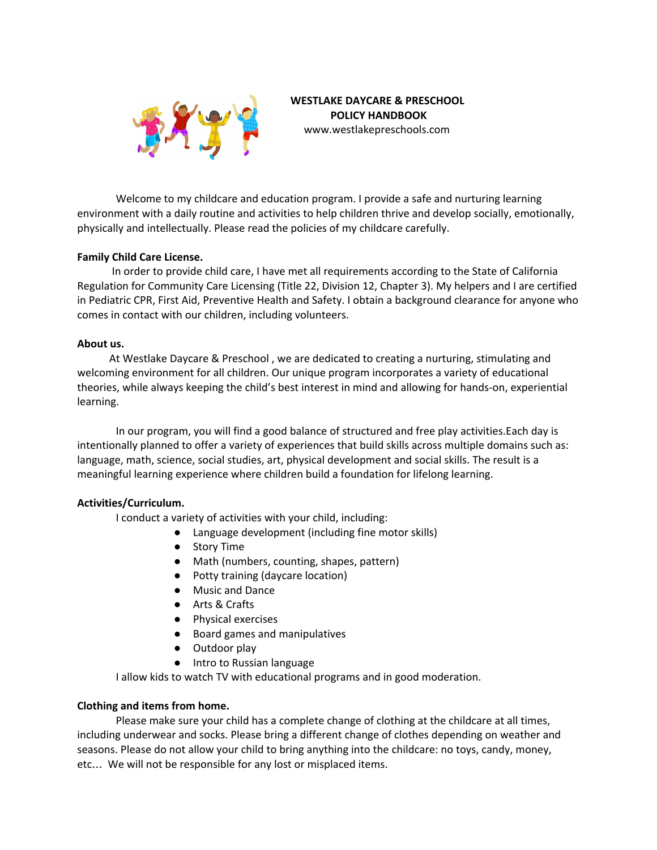

## **WESTLAKE DAYCARE & PRESCHOOL POLICY HANDBOOK** www.westlakepreschools.com

Welcome to my childcare and education program. I provide a safe and nurturing learning environment with a daily routine and activities to help children thrive and develop socially, emotionally, physically and intellectually. Please read the policies of my childcare carefully.

## **Family Child Care License.**

In order to provide child care, I have met all requirements according to the State of California Regulation for Community Care Licensing (Title 22, Division 12, Chapter 3). My helpers and I are certified in Pediatric CPR, First Aid, Preventive Health and Safety. I obtain a background clearance for anyone who comes in contact with our children, including volunteers.

## **About us.**

At Westlake Daycare & Preschool , we are dedicated to creating a nurturing, stimulating and welcoming environment for all children. Our unique program incorporates a variety of educational theories, while always keeping the child's best interest in mind and allowing for hands-on, experiential learning.

In our program, you will find a good balance of structured and free play activities.Each day is intentionally planned to offer a variety of experiences that build skills across multiple domains such as: language, math, science, social studies, art, physical development and social skills. The result is a meaningful learning experience where children build a foundation for lifelong learning.

# **Activities/Curriculum.**

I conduct a variety of activities with your child, including:

- Language development (including fine motor skills)
- Story Time
- Math (numbers, counting, shapes, pattern)
- Potty training (daycare location)
- Music and Dance
- Arts & Crafts
- Physical exercises
- Board games and manipulatives
- Outdoor play
- Intro to Russian language

I allow kids to watch TV with educational programs and in good moderation.

## **Clothing and items from home.**

Please make sure your child has a complete change of clothing at the childcare at all times, including underwear and socks. Please bring a different change of clothes depending on weather and seasons. Please do not allow your child to bring anything into the childcare: no toys, candy, money, etc… We will not be responsible for any lost or misplaced items.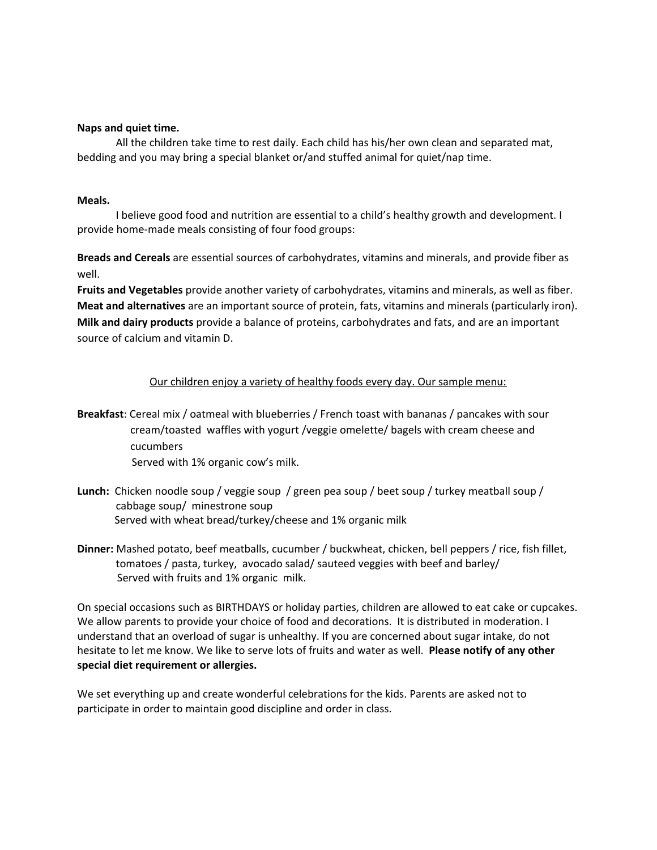## **Naps and quiet time.**

All the children take time to rest daily. Each child has his/her own clean and separated mat, bedding and you may bring a special blanket or/and stuffed animal for quiet/nap time.

## **Meals.**

I believe good food and nutrition are essential to a child's healthy growth and development. I provide home-made meals consisting of four food groups:

**Breads and Cereals** are essential sources of carbohydrates, vitamins and minerals, and provide fiber as well.

**Fruits and Vegetables** provide another variety of carbohydrates, vitamins and minerals, as well as fiber. **Meat and alternatives** are an important source of protein, fats, vitamins and minerals (particularly iron). **Milk and dairy products** provide a balance of proteins, carbohydrates and fats, and are an important source of calcium and vitamin D.

## Our children enjoy a variety of healthy foods every day. Our sample menu:

- **Breakfast**: Cereal mix / oatmeal with blueberries / French toast with bananas / pancakes with sour cream/toasted waffles with yogurt /veggie omelette/ bagels with cream cheese and cucumbers Served with 1% organic cow's milk.
- **Lunch:** Chicken noodle soup / veggie soup / green pea soup / beet soup / turkey meatball soup / cabbage soup/ minestrone soup Served with wheat bread/turkey/cheese and 1% organic milk
- **Dinner:** Mashed potato, beef meatballs, cucumber / buckwheat, chicken, bell peppers / rice, fish fillet, tomatoes / pasta, turkey, avocado salad/ sauteed veggies with beef and barley/ Served with fruits and 1% organic milk.

On special occasions such as BIRTHDAYS or holiday parties, children are allowed to eat cake or cupcakes. We allow parents to provide your choice of food and decorations. It is distributed in moderation. I understand that an overload of sugar is unhealthy. If you are concerned about sugar intake, do not hesitate to let me know. We like to serve lots of fruits and water as well. **Please notify of any other special diet requirement or allergies.**

We set everything up and create wonderful celebrations for the kids. Parents are asked not to participate in order to maintain good discipline and order in class.